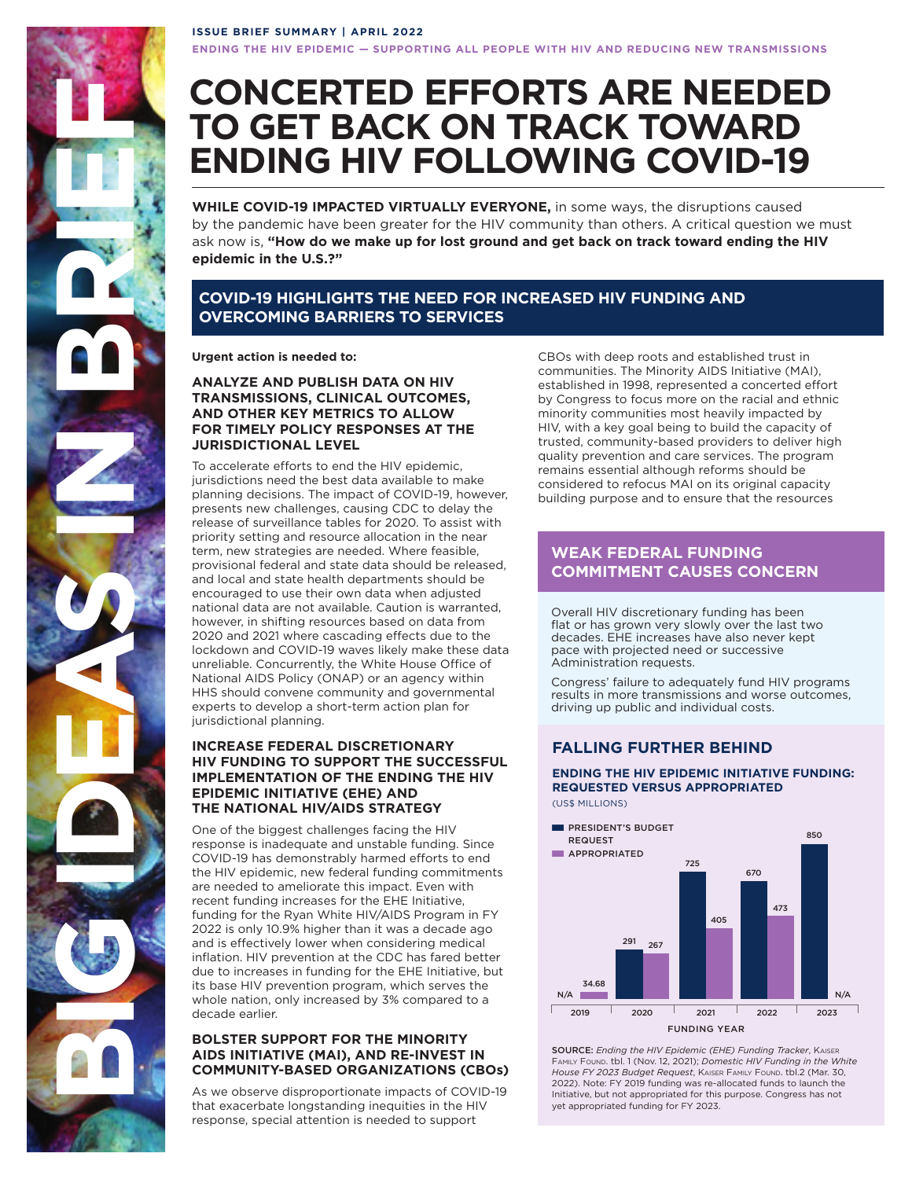## **ISSUE BRIEF SUMMARY | APRIL 2022**

**ENDING THE HIV EPIDEMIC — SUPPORTING ALL PEOPLE WITH HIV AND REDUCING NEW TRANSMISSIONS** 

# **CONCERTED EFFORTS ARE NEEDED TO GET BACK ON TRACK TOWARD ENDING HIV FOLLOWING COVID-19**

**WHILE COVID-19 IMPACTED VIRTUALLY EVERYONE,** in some ways, the disruptions caused by the pandemic have been greater for the HIV community than others. A critical question we must ask now is, **"How do we make up for lost ground and get back on track toward ending the HIV epidemic in the U.S.?"** 

## **COVID-19 HIGHLIGHTS THE NEED FOR INCREASED HIV FUNDING AND OVERCOMING BARRIERS TO SERVICES**

**Urgent action is needed to:** 

**BIG IDEAS IN BRIEF** 

## **ANALYZE AND PUBLISH DATA ON HIV TRANSMISSIONS, CLINICAL OUTCOMES, AND OTHER KEY METRICS TO ALLOW FOR TIMELY POLICY RESPONSES AT THE JURISDICTIONAL LEVEL**

To accelerate efforts to end the HIV epidemic, jurisdictions need the best data available to make planning decisions. The impact of COVID-19, however, presents new challenges, causing CDC to delay the release of surveillance tables for 2020. To assist with priority setting and resource allocation in the near term, new strategies are needed. Where feasible, provisional federal and state data should be released, and local and state health departments should be encouraged to use their own data when adjusted national data are not available. Caution is warranted, however, in shifting resources based on data from 2020 and 2021 where cascading effects due to the lockdown and COVID-19 waves likely make these data unreliable. Concurrently, the White House Office of National AIDS Policy (ONAP) or an agency within HHS should convene community and governmental experts to develop a short-term action plan for jurisdictional planning.

## **INCREASE FEDERAL DISCRETIONARY HIV FUNDING TO SUPPORT THE SUCCESSFUL IMPLEMENTATION OF THE ENDING THE HIV EPIDEMIC INITIATIVE (EHE) AND THE NATIONAL HIV/AIDS STRATEGY**

One of the biggest challenges facing the HI response is inadequate and unstable funding. Since COVID-19 has demonstrably harmed efforts to end the HIV epidemic, new federal funding commitments are needed to ameliorate this impact. Even with recent funding increases for the EHE Initiative, funding for the Ryan White HIV/AIDS Program in FY 2022 is only 10.9% higher than it was a decade ago and is effectively lower when considering medical inflation. HIV prevention at the CDC has fared better due to increases in funding for the EHE Initiative, but its base HIV prevention program, which serves the whole nation, only increased by 3% compared to a decade earlier.

## **BOLSTER SUPPORT FOR THE MINORITY AIDS INITIATIVE (MAI), AND RE-INVEST IN COMMUNITY-BASED ORGANIZATIONS (CBOs)**

As we observe disproportionate impacts of COVID-19 that exacerbate longstanding inequities in the HI response, special attention is needed to support

CBOs with deep roots and established trust in communities. The Minority AIDS Initiative (MAI), established in 1998, represented a concerted effort by Congress to focus more on the racial and ethnic minority communities most heavily impacted by HIV, with a key goal being to build the capacity of trusted, community-based providers to deliver high quality prevention and care services. The program remains essential although reforms should be considered to refocus MAI on its original capacity building purpose and to ensure that the resources

# **WEAK FEDERAL FUNDING COMMITMENT CAUSES CONCERN**

Overall HIV discretionary funding has been flat or has grown very slowly over the last two decades. EHE increases have also never kept pace with projected need or successive Administration requests.

Congress' failure to adequately fund HIV programs results in more transmissions and worse outcomes, driving up public and individual costs.

## **FALLING FURTHER BEHIND**

**ENDING THE HIV EPIDEMIC INITIATIVE FUNDING: REQUESTED VERSUS APPROPRIATED**  (US\$ MILLIONS)

**PRESIDENT'S BUDGET NO APPROPRIATED REQUEST** 2019  $N/A$ 34.68 2020 291 267 2021 725 405 2022 670 473 2023 850 N/A FUNDING YEAR

**SOURCE:** Ending the HIV Epidemic (EHE) Funding Tracker, Kaiser Family Found. tbl. 1 (Nov. 12, 2021); *Domestic HIV Funding in the White*  House FY 2023 Budget Request, KAISER FAMILY FOUND. tbl.2 (Mar. 30, 2022). Note: FY 2019 funding was re-allocated funds to launch the Initiative, but not appropriated for this purpose. Congress has not yet appropriated funding for FY 2023.